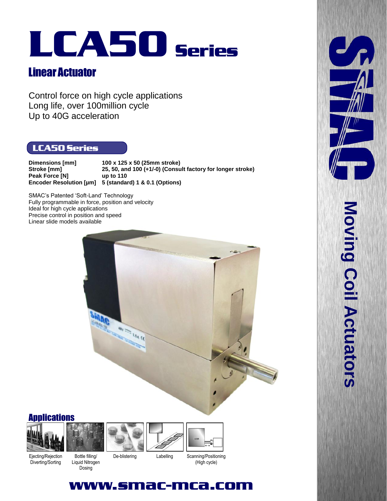# LCA50 Series

# Linear Actuator

Control force on high cycle applications Long life, over 100million cycle Up to 40G acceleration

### LCA50 Series

**Dimensions [mm] 100 x 125 x 50 (25mm stroke) Stroke [mm] 25, 50, and 100 (+1/-0) (Consult factory for longer stroke) Peak Force [N] up to 110 Encoder Resolution [µm] 5 (standard) 1 & 0.1 (Options)**

SMAC's Patented 'Soft-Land' Technology Fully programmable in force, position and velocity Ideal for high cycle applications Precise control in position and speed Linear slide models available



**Applications** 







## www.smac-mca.com

 $J_{\rm f}$